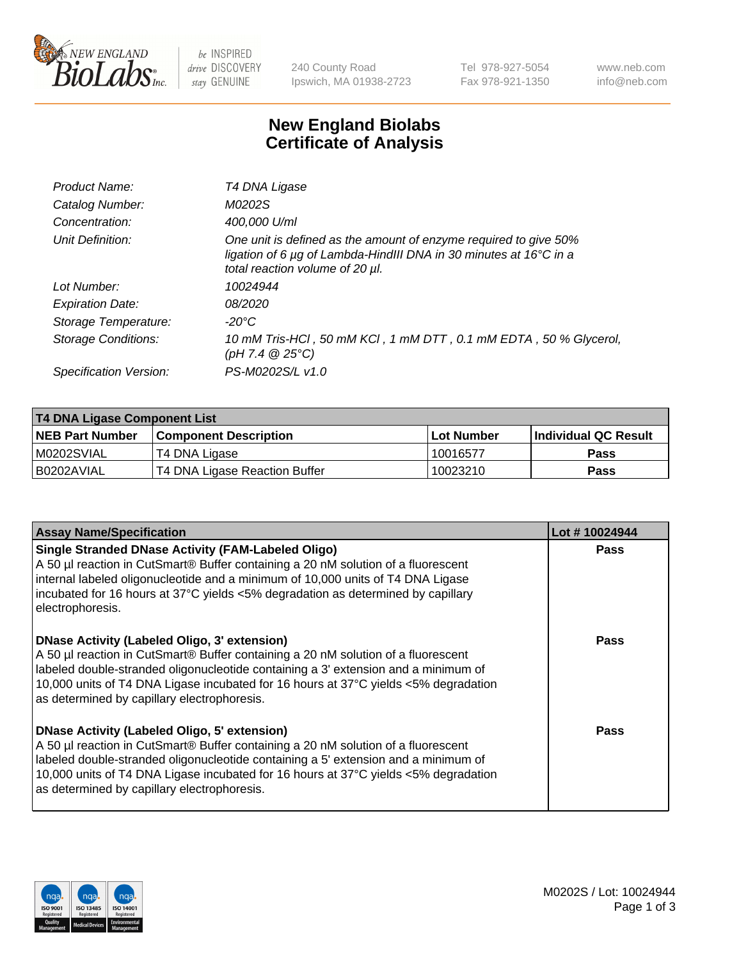

be INSPIRED drive DISCOVERY stay GENUINE

240 County Road Ipswich, MA 01938-2723 Tel 978-927-5054 Fax 978-921-1350 www.neb.com info@neb.com

## **New England Biolabs Certificate of Analysis**

| Product Name:              | T4 DNA Ligase                                                                                                                                                                           |
|----------------------------|-----------------------------------------------------------------------------------------------------------------------------------------------------------------------------------------|
| Catalog Number:            | M0202S                                                                                                                                                                                  |
| Concentration:             | 400,000 U/ml                                                                                                                                                                            |
| Unit Definition:           | One unit is defined as the amount of enzyme required to give 50%<br>ligation of 6 $\mu$ g of Lambda-HindIII DNA in 30 minutes at 16 $\degree$ C in a<br>total reaction volume of 20 µl. |
| Lot Number:                | 10024944                                                                                                                                                                                |
| <b>Expiration Date:</b>    | 08/2020                                                                                                                                                                                 |
| Storage Temperature:       | $-20^{\circ}$ C                                                                                                                                                                         |
| <b>Storage Conditions:</b> | 10 mM Tris-HCl, 50 mM KCl, 1 mM DTT, 0.1 mM EDTA, 50 % Glycerol,<br>(pH 7.4 $@25°C$ )                                                                                                   |
| Specification Version:     | PS-M0202S/L v1.0                                                                                                                                                                        |

| T4 DNA Ligase Component List |                               |              |                             |  |  |
|------------------------------|-------------------------------|--------------|-----------------------------|--|--|
| <b>NEB Part Number</b>       | <b>Component Description</b>  | l Lot Number | <b>Individual QC Result</b> |  |  |
| M0202SVIAL                   | T4 DNA Ligase                 | 10016577     | <b>Pass</b>                 |  |  |
| I B0202AVIAL                 | T4 DNA Ligase Reaction Buffer | 10023210     | <b>Pass</b>                 |  |  |

| <b>Assay Name/Specification</b>                                                                                                                                                                                                                                                                                                                                      | Lot #10024944 |
|----------------------------------------------------------------------------------------------------------------------------------------------------------------------------------------------------------------------------------------------------------------------------------------------------------------------------------------------------------------------|---------------|
| <b>Single Stranded DNase Activity (FAM-Labeled Oligo)</b><br>A 50 µl reaction in CutSmart® Buffer containing a 20 nM solution of a fluorescent<br>internal labeled oligonucleotide and a minimum of 10,000 units of T4 DNA Ligase<br>incubated for 16 hours at 37°C yields <5% degradation as determined by capillary<br>electrophoresis.                            | <b>Pass</b>   |
| <b>DNase Activity (Labeled Oligo, 3' extension)</b><br>A 50 µl reaction in CutSmart® Buffer containing a 20 nM solution of a fluorescent<br>labeled double-stranded oligonucleotide containing a 3' extension and a minimum of<br>10,000 units of T4 DNA Ligase incubated for 16 hours at 37°C yields <5% degradation<br>as determined by capillary electrophoresis. | Pass          |
| <b>DNase Activity (Labeled Oligo, 5' extension)</b><br>A 50 µl reaction in CutSmart® Buffer containing a 20 nM solution of a fluorescent<br>labeled double-stranded oligonucleotide containing a 5' extension and a minimum of<br>10,000 units of T4 DNA Ligase incubated for 16 hours at 37°C yields <5% degradation<br>as determined by capillary electrophoresis. | Pass          |

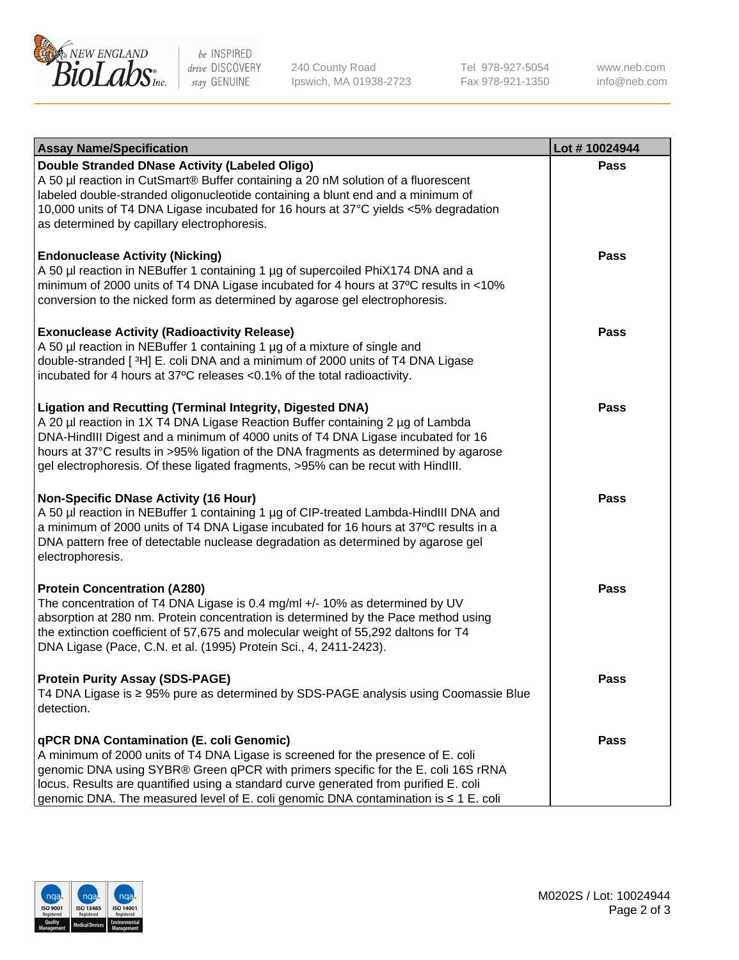

be INSPIRED drive DISCOVERY stay GENUINE

240 County Road Ipswich, MA 01938-2723 Tel 978-927-5054 Fax 978-921-1350

www.neb.com info@neb.com

| <b>Assay Name/Specification</b>                                                                                                                                                                                                                                                                                                                                                                                    | Lot #10024944 |
|--------------------------------------------------------------------------------------------------------------------------------------------------------------------------------------------------------------------------------------------------------------------------------------------------------------------------------------------------------------------------------------------------------------------|---------------|
| Double Stranded DNase Activity (Labeled Oligo)<br>A 50 µl reaction in CutSmart® Buffer containing a 20 nM solution of a fluorescent<br>labeled double-stranded oligonucleotide containing a blunt end and a minimum of<br>10,000 units of T4 DNA Ligase incubated for 16 hours at 37°C yields <5% degradation<br>as determined by capillary electrophoresis.                                                       | Pass          |
| <b>Endonuclease Activity (Nicking)</b><br>A 50 µl reaction in NEBuffer 1 containing 1 µg of supercoiled PhiX174 DNA and a<br>minimum of 2000 units of T4 DNA Ligase incubated for 4 hours at 37°C results in <10%<br>conversion to the nicked form as determined by agarose gel electrophoresis.                                                                                                                   | <b>Pass</b>   |
| <b>Exonuclease Activity (Radioactivity Release)</b><br>A 50 µl reaction in NEBuffer 1 containing 1 µg of a mixture of single and<br>double-stranded [3H] E. coli DNA and a minimum of 2000 units of T4 DNA Ligase<br>incubated for 4 hours at 37°C releases <0.1% of the total radioactivity.                                                                                                                      | <b>Pass</b>   |
| <b>Ligation and Recutting (Terminal Integrity, Digested DNA)</b><br>A 20 µl reaction in 1X T4 DNA Ligase Reaction Buffer containing 2 µg of Lambda<br>DNA-HindIII Digest and a minimum of 4000 units of T4 DNA Ligase incubated for 16<br>hours at 37°C results in >95% ligation of the DNA fragments as determined by agarose<br>gel electrophoresis. Of these ligated fragments, >95% can be recut with HindIII. | Pass          |
| <b>Non-Specific DNase Activity (16 Hour)</b><br>A 50 µl reaction in NEBuffer 1 containing 1 µg of CIP-treated Lambda-HindIII DNA and<br>a minimum of 2000 units of T4 DNA Ligase incubated for 16 hours at 37°C results in a<br>DNA pattern free of detectable nuclease degradation as determined by agarose gel<br>electrophoresis.                                                                               | <b>Pass</b>   |
| <b>Protein Concentration (A280)</b><br>The concentration of T4 DNA Ligase is 0.4 mg/ml +/- 10% as determined by UV<br>absorption at 280 nm. Protein concentration is determined by the Pace method using<br>the extinction coefficient of 57,675 and molecular weight of 55,292 daltons for T4<br>DNA Ligase (Pace, C.N. et al. (1995) Protein Sci., 4, 2411-2423).                                                | <b>Pass</b>   |
| <b>Protein Purity Assay (SDS-PAGE)</b><br>T4 DNA Ligase is ≥ 95% pure as determined by SDS-PAGE analysis using Coomassie Blue<br>detection.                                                                                                                                                                                                                                                                        | Pass          |
| qPCR DNA Contamination (E. coli Genomic)<br>A minimum of 2000 units of T4 DNA Ligase is screened for the presence of E. coli<br>genomic DNA using SYBR® Green qPCR with primers specific for the E. coli 16S rRNA<br>locus. Results are quantified using a standard curve generated from purified E. coli<br>genomic DNA. The measured level of E. coli genomic DNA contamination is ≤ 1 E. coli                   | <b>Pass</b>   |